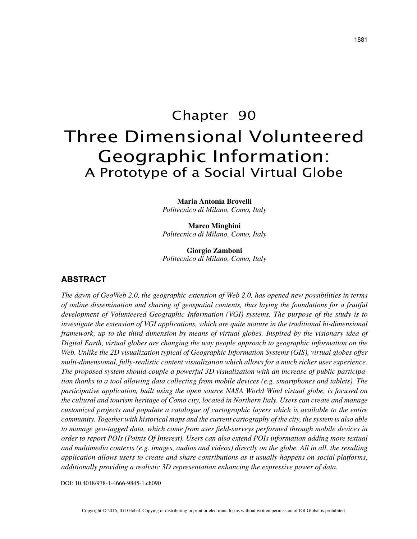# Chapter 90 Three Dimensional Volunteered Geographic Information: A Prototype of a Social Virtual Globe

**Maria Antonia Brovelli** *Politecnico di Milano, Como, Italy*

**Marco Minghini** *Politecnico di Milano, Como, Italy*

**Giorgio Zamboni** *Politecnico di Milano, Como, Italy*

## **ABSTRACT**

*The dawn of GeoWeb 2.0, the geographic extension of Web 2.0, has opened new possibilities in terms of online dissemination and sharing of geospatial contents, thus laying the foundations for a fruitful development of Volunteered Geographic Information (VGI) systems. The purpose of the study is to investigate the extension of VGI applications, which are quite mature in the traditional bi-dimensional framework, up to the third dimension by means of virtual globes. Inspired by the visionary idea of Digital Earth, virtual globes are changing the way people approach to geographic information on the Web. Unlike the 2D visualization typical of Geographic Information Systems (GIS), virtual globes offer multi-dimensional, fully-realistic content visualization which allows for a much richer user experience. The proposed system should couple a powerful 3D visualization with an increase of public participation thanks to a tool allowing data collecting from mobile devices (e.g. smartphones and tablets). The participative application, built using the open source NASA World Wind virtual globe, is focused on the cultural and tourism heritage of Como city, located in Northern Italy. Users can create and manage customized projects and populate a catalogue of cartographic layers which is available to the entire community. Together with historical maps and the current cartography of the city, the system is also able to manage geo-tagged data, which come from user field-surveys performed through mobile devices in order to report POIs (Points Of Interest). Users can also extend POIs information adding more textual and multimedia contexts (e.g. images, audios and videos) directly on the globe. All in all, the resulting application allows users to create and share contributions as it usually happens on social platforms, additionally providing a realistic 3D representation enhancing the expressive power of data.*

DOI: 10.4018/978-1-4666-9845-1.ch090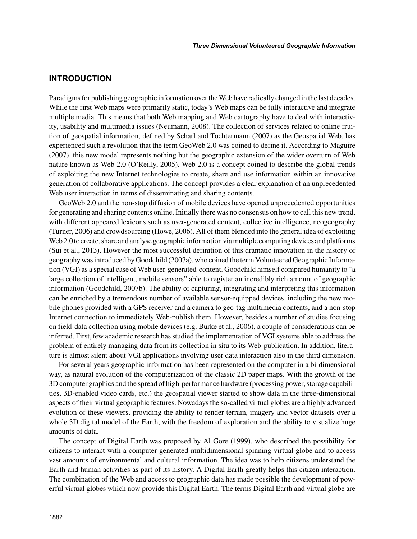## **INTRODUCTION**

Paradigms for publishing geographic information over the Web have radically changed in the last decades. While the first Web maps were primarily static, today's Web maps can be fully interactive and integrate multiple media. This means that both Web mapping and Web cartography have to deal with interactivity, usability and multimedia issues (Neumann, 2008). The collection of services related to online fruition of geospatial information, defined by Scharl and Tochtermann (2007) as the Geospatial Web, has experienced such a revolution that the term GeoWeb 2.0 was coined to define it. According to Maguire (2007), this new model represents nothing but the geographic extension of the wider overturn of Web nature known as Web 2.0 (O'Reilly, 2005). Web 2.0 is a concept coined to describe the global trends of exploiting the new Internet technologies to create, share and use information within an innovative generation of collaborative applications. The concept provides a clear explanation of an unprecedented Web user interaction in terms of disseminating and sharing contents.

GeoWeb 2.0 and the non-stop diffusion of mobile devices have opened unprecedented opportunities for generating and sharing contents online. Initially there was no consensus on how to call this new trend, with different appeared lexicons such as user-generated content, collective intelligence, neogeography (Turner, 2006) and crowdsourcing (Howe, 2006). All of them blended into the general idea of exploiting Web 2.0 to create, share and analyse geographic information via multiple computing devices and platforms (Sui et al., 2013). However the most successful definition of this dramatic innovation in the history of geography was introduced by Goodchild (2007a), who coined the term Volunteered Geographic Information (VGI) as a special case of Web user-generated-content. Goodchild himself compared humanity to "a large collection of intelligent, mobile sensors" able to register an incredibly rich amount of geographic information (Goodchild, 2007b). The ability of capturing, integrating and interpreting this information can be enriched by a tremendous number of available sensor-equipped devices, including the new mobile phones provided with a GPS receiver and a camera to geo-tag multimedia contents, and a non-stop Internet connection to immediately Web-publish them. However, besides a number of studies focusing on field-data collection using mobile devices (e.g. Burke et al., 2006), a couple of considerations can be inferred. First, few academic research has studied the implementation of VGI systems able to address the problem of entirely managing data from its collection in situ to its Web-publication. In addition, literature is almost silent about VGI applications involving user data interaction also in the third dimension.

For several years geographic information has been represented on the computer in a bi-dimensional way, as natural evolution of the computerization of the classic 2D paper maps. With the growth of the 3D computer graphics and the spread of high-performance hardware (processing power, storage capabilities, 3D-enabled video cards, etc.) the geospatial viewer started to show data in the three-dimensional aspects of their virtual geographic features. Nowadays the so-called virtual globes are a highly advanced evolution of these viewers, providing the ability to render terrain, imagery and vector datasets over a whole 3D digital model of the Earth, with the freedom of exploration and the ability to visualize huge amounts of data.

The concept of Digital Earth was proposed by Al Gore (1999), who described the possibility for citizens to interact with a computer-generated multidimensional spinning virtual globe and to access vast amounts of environmental and cultural information. The idea was to help citizens understand the Earth and human activities as part of its history. A Digital Earth greatly helps this citizen interaction. The combination of the Web and access to geographic data has made possible the development of powerful virtual globes which now provide this Digital Earth. The terms Digital Earth and virtual globe are